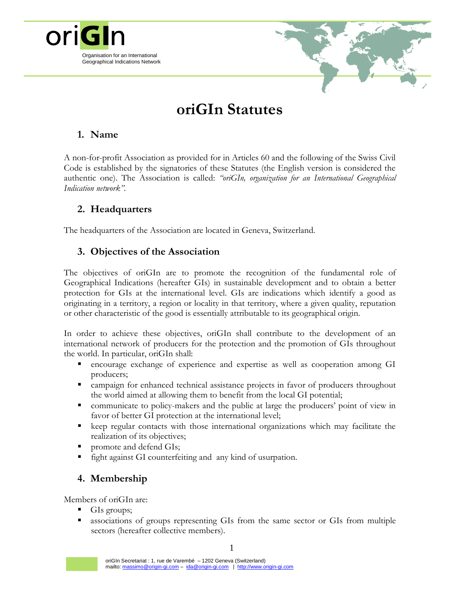

# **oriGIn Statutes**

# **1. Name**

A non-for-profit Association as provided for in Articles 60 and the following of the Swiss Civil Code is established by the signatories of these Statutes (the English version is considered the authentic one). The Association is called: *"oriGIn, organization for an International Geographical Indication network".*

# **2. Headquarters**

The headquarters of the Association are located in Geneva, Switzerland.

## **3. Objectives of the Association**

The objectives of oriGIn are to promote the recognition of the fundamental role of Geographical Indications (hereafter GIs) in sustainable development and to obtain a better protection for GIs at the international level. GIs are indications which identify a good as originating in a territory, a region or locality in that territory, where a given quality, reputation or other characteristic of the good is essentially attributable to its geographical origin.

In order to achieve these objectives, oriGIn shall contribute to the development of an international network of producers for the protection and the promotion of GIs throughout the world. In particular, oriGIn shall:

- encourage exchange of experience and expertise as well as cooperation among GI producers;
- campaign for enhanced technical assistance projects in favor of producers throughout the world aimed at allowing them to benefit from the local GI potential;
- communicate to policy-makers and the public at large the producers' point of view in favor of better GI protection at the international level;
- keep regular contacts with those international organizations which may facilitate the realization of its objectives;
- promote and defend GIs;
- fight against GI counterfeiting and any kind of usurpation.

# **4. Membership**

Members of oriGIn are:

- GIs groups;
- associations of groups representing GIs from the same sector or GIs from multiple sectors (hereafter collective members).

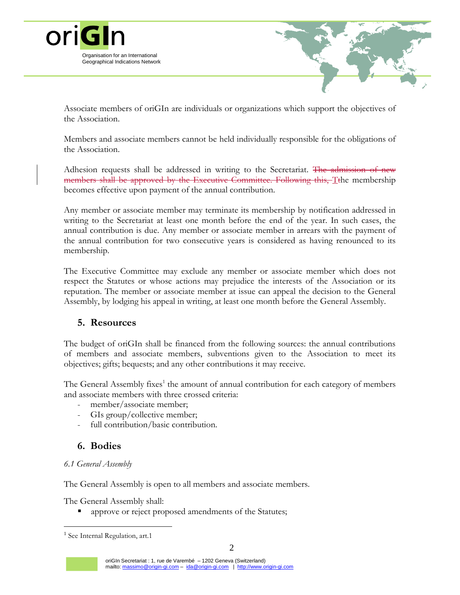



Associate members of oriGIn are individuals or organizations which support the objectives of the Association.

Members and associate members cannot be held individually responsible for the obligations of the Association.

Adhesion requests shall be addressed in writing to the Secretariat. The admission of new members shall be approved by the Executive Committee. Following this, T<sup>the</sup> membership becomes effective upon payment of the annual contribution.

Any member or associate member may terminate its membership by notification addressed in writing to the Secretariat at least one month before the end of the year. In such cases, the annual contribution is due. Any member or associate member in arrears with the payment of the annual contribution for two consecutive years is considered as having renounced to its membership.

The Executive Committee may exclude any member or associate member which does not respect the Statutes or whose actions may prejudice the interests of the Association or its reputation. The member or associate member at issue can appeal the decision to the General Assembly, by lodging his appeal in writing, at least one month before the General Assembly.

### **5. Resources**

The budget of oriGIn shall be financed from the following sources: the annual contributions of members and associate members, subventions given to the Association to meet its objectives; gifts; bequests; and any other contributions it may receive.

The General Assembly fixes<sup>1</sup> the amount of annual contribution for each category of members and associate members with three crossed criteria:

- member/associate member;
- GIs group/collective member;
- full contribution/basic contribution.

### **6. Bodies**

### *6.1 General Assembly*

The General Assembly is open to all members and associate members.

The General Assembly shall:

approve or reject proposed amendments of the Statutes;

 $\overline{a}$ 

<sup>&</sup>lt;sup>1</sup> See Internal Regulation, art.1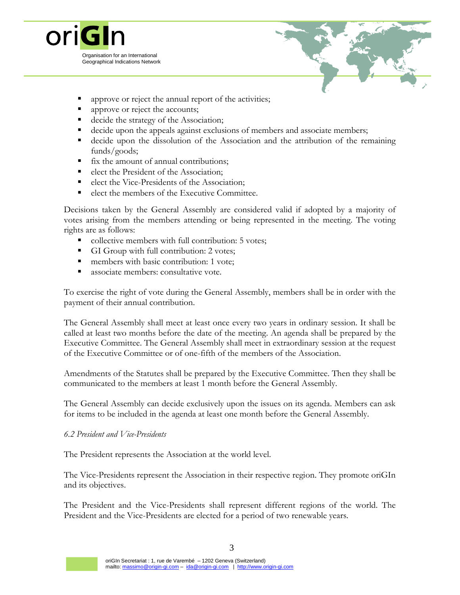



- approve or reject the annual report of the activities;
- approve or reject the accounts;
- decide the strategy of the Association;
- decide upon the appeals against exclusions of members and associate members;
- decide upon the dissolution of the Association and the attribution of the remaining funds/goods;
- fix the amount of annual contributions;
- elect the President of the Association;
- elect the Vice-Presidents of the Association;
- elect the members of the Executive Committee.

Decisions taken by the General Assembly are considered valid if adopted by a majority of votes arising from the members attending or being represented in the meeting. The voting rights are as follows:

- collective members with full contribution: 5 votes;
- GI Group with full contribution: 2 votes;
- members with basic contribution: 1 vote;
- associate members: consultative vote.

To exercise the right of vote during the General Assembly, members shall be in order with the payment of their annual contribution.

The General Assembly shall meet at least once every two years in ordinary session. It shall be called at least two months before the date of the meeting. An agenda shall be prepared by the Executive Committee. The General Assembly shall meet in extraordinary session at the request of the Executive Committee or of one-fifth of the members of the Association.

Amendments of the Statutes shall be prepared by the Executive Committee. Then they shall be communicated to the members at least 1 month before the General Assembly.

The General Assembly can decide exclusively upon the issues on its agenda. Members can ask for items to be included in the agenda at least one month before the General Assembly.

#### *6.2 President and Vice-Presidents*

The President represents the Association at the world level.

The Vice-Presidents represent the Association in their respective region. They promote oriGIn and its objectives.

The President and the Vice-Presidents shall represent different regions of the world. The President and the Vice-Presidents are elected for a period of two renewable years.

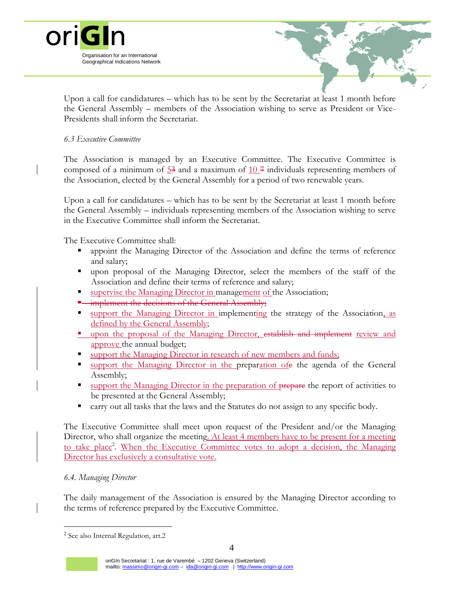



Upon a call for candidatures – which has to be sent by the Secretariat at least 1 month before the General Assembly – members of the Association wishing to serve as President or Vice-Presidents shall inform the Secretariat.

### *6.3 Executive Committee*

The Association is managed by an Executive Committee. The Executive Committee is composed of a minimum of  $\frac{53}{3}$  and a maximum of  $\frac{10}{7}$  individuals representing members of the Association, elected by the General Assembly for a period of two renewable years.

Upon a call for candidatures – which has to be sent by the Secretariat at least 1 month before the General Assembly – individuals representing members of the Association wishing to serve in the Executive Committee shall inform the Secretariat.

The Executive Committee shall:

- appoint the Managing Director of the Association and define the terms of reference and salary;
- upon proposal of the Managing Director, select the members of the staff of the Association and define their terms of reference and salary;
- supervise the Managing Director in management of the Association;
- **E** implement the decisions of the General Assembly;
- support the Managing Director in implementing the strategy of the Association, as defined by the General Assembly;
- upon the proposal of the Managing Director, establish and implement review and approve the annual budget;
- support the Managing Director in research of new members and funds;
- support the Managing Director in the preparation ofe the agenda of the General Assembly;
- support the Managing Director in the preparation of prepare the report of activities to be presented at the General Assembly;
- carry out all tasks that the laws and the Statutes do not assign to any specific body.

The Executive Committee shall meet upon request of the President and/or the Managing Director, who shall organize the meeting. At least 4 members have to be present for a meeting to take place<sup>2</sup>. When the Executive Committee votes to adopt a decision, the Managing Director has exclusively a consultative vote.

### *6.4. Managing Director*

 $\overline{a}$ 

The daily management of the Association is ensured by the Managing Director according to the terms of reference prepared by the Executive Committee.

<sup>&</sup>lt;sup>2</sup> See also Internal Regulation, art.2